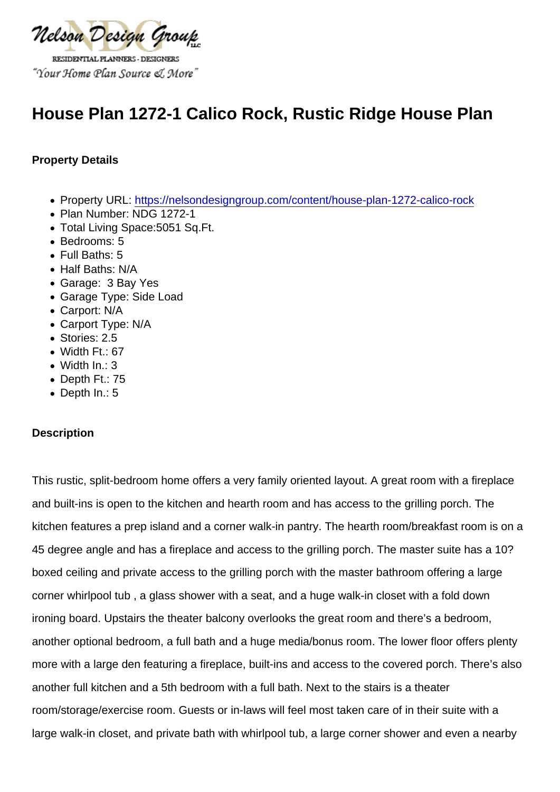# House Plan 1272-1 Calico Rock, Rustic Ridge House Plan

Property Details

- Property URL:<https://nelsondesigngroup.com/content/house-plan-1272-calico-rock>
- Plan Number: NDG 1272-1
- Total Living Space:5051 Sq.Ft.
- Bedrooms: 5
- Full Baths: 5
- Half Baths: N/A
- Garage: 3 Bay Yes
- Garage Type: Side Load
- Carport: N/A
- Carport Type: N/A
- Stories: 2.5
- Width Ft.: 67
- Width In.: 3
- Depth Ft.: 75
- Depth In.: 5

#### **Description**

This rustic, split-bedroom home offers a very family oriented layout. A great room with a fireplace and built-ins is open to the kitchen and hearth room and has access to the grilling porch. The kitchen features a prep island and a corner walk-in pantry. The hearth room/breakfast room is on a 45 degree angle and has a fireplace and access to the grilling porch. The master suite has a 10? boxed ceiling and private access to the grilling porch with the master bathroom offering a large corner whirlpool tub , a glass shower with a seat, and a huge walk-in closet with a fold down ironing board. Upstairs the theater balcony overlooks the great room and there's a bedroom, another optional bedroom, a full bath and a huge media/bonus room. The lower floor offers plenty more with a large den featuring a fireplace, built-ins and access to the covered porch. There's also another full kitchen and a 5th bedroom with a full bath. Next to the stairs is a theater room/storage/exercise room. Guests or in-laws will feel most taken care of in their suite with a large walk-in closet, and private bath with whirlpool tub, a large corner shower and even a nearby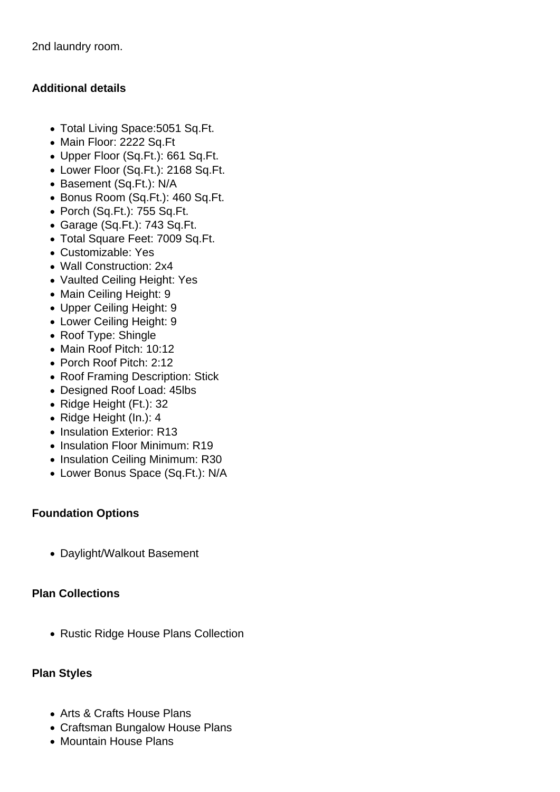2nd laundry room.

## **Additional details**

- Total Living Space:5051 Sq.Ft.
- Main Floor: 2222 Sq.Ft
- Upper Floor (Sq.Ft.): 661 Sq.Ft.
- Lower Floor (Sq.Ft.): 2168 Sq.Ft.
- Basement (Sq.Ft.): N/A
- Bonus Room (Sq.Ft.): 460 Sq.Ft.
- Porch (Sq.Ft.): 755 Sq.Ft.
- Garage (Sq.Ft.): 743 Sq.Ft.
- Total Square Feet: 7009 Sq.Ft.
- Customizable: Yes
- Wall Construction: 2x4
- Vaulted Ceiling Height: Yes
- Main Ceiling Height: 9
- Upper Ceiling Height: 9
- Lower Ceiling Height: 9
- Roof Type: Shingle
- Main Roof Pitch: 10:12
- Porch Roof Pitch: 2:12
- Roof Framing Description: Stick
- Designed Roof Load: 45lbs
- Ridge Height (Ft.): 32
- Ridge Height (In.): 4
- Insulation Exterior: R13
- Insulation Floor Minimum: R19
- Insulation Ceiling Minimum: R30
- Lower Bonus Space (Sq.Ft.): N/A

#### **Foundation Options**

Daylight/Walkout Basement

#### **Plan Collections**

• Rustic Ridge House Plans Collection

#### **Plan Styles**

- Arts & Crafts House Plans
- Craftsman Bungalow House Plans
- Mountain House Plans